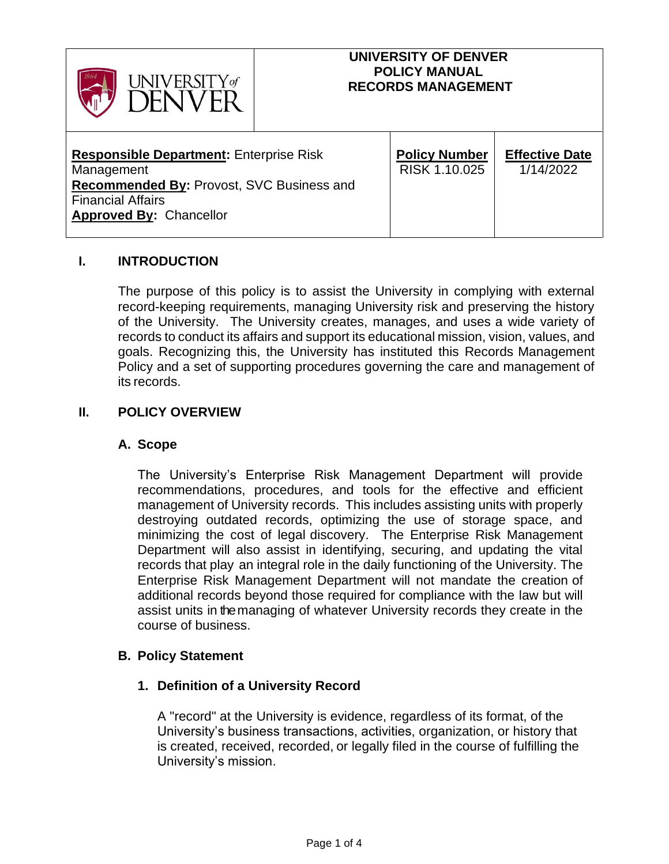

### **UNIVERSITY OF DENVER POLICY MANUAL RECORDS MANAGEMENT**

| <b>Responsible Department: Enterprise Risk</b><br>Management<br><b>Recommended By: Provost, SVC Business and</b><br><b>Financial Affairs</b><br><b>Approved By: Chancellor</b> | <b>Policy Number</b><br>RISK 1.10.025 | <b>Effective Date</b><br>1/14/2022 |
|--------------------------------------------------------------------------------------------------------------------------------------------------------------------------------|---------------------------------------|------------------------------------|
|--------------------------------------------------------------------------------------------------------------------------------------------------------------------------------|---------------------------------------|------------------------------------|

## **I. INTRODUCTION**

The purpose of this policy is to assist the University in complying with external record-keeping requirements, managing University risk and preserving the history of the University. The University creates, manages, and uses a wide variety of records to conduct its affairs and support its educational mission, vision, values, and goals. Recognizing this, the University has instituted this Records Management Policy and a set of supporting procedures governing the care and management of its records.

### **II. POLICY OVERVIEW**

#### **A. Scope**

The University's Enterprise Risk Management Department will provide recommendations, procedures, and tools for the effective and efficient management of University records. This includes assisting units with properly destroying outdated records, optimizing the use of storage space, and minimizing the cost of legal discovery. The Enterprise Risk Management Department will also assist in identifying, securing, and updating the vital records that play an integral role in the daily functioning of the University. The Enterprise Risk Management Department will not mandate the creation of additional records beyond those required for compliance with the law but will assist units in themanaging of whatever University records they create in the course of business.

#### **B. Policy Statement**

## **1. Definition of a University Record**

A "record" at the University is evidence, regardless of its format, of the University's business transactions, activities, organization, or history that is created, received, recorded, or legally filed in the course of fulfilling the University's mission.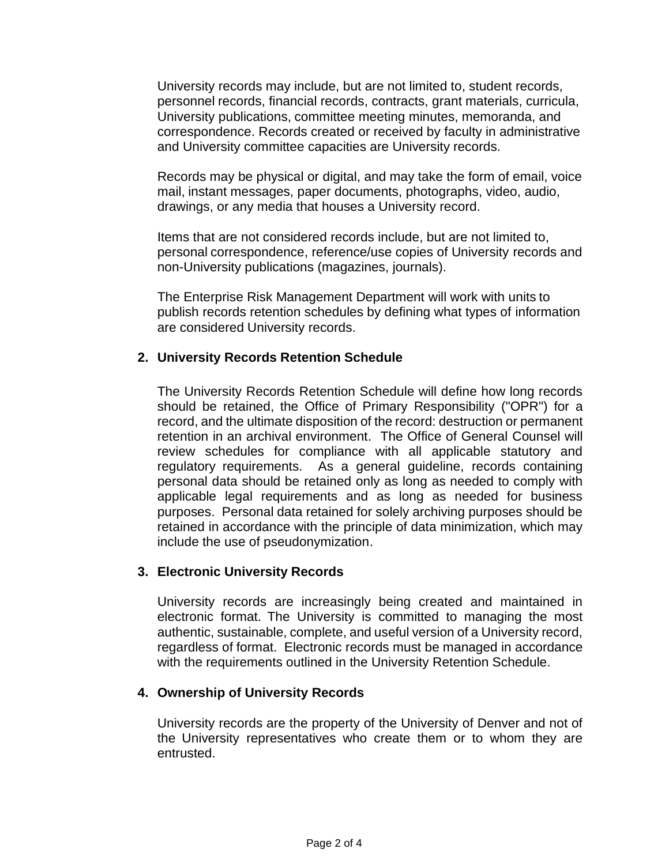University records may include, but are not limited to, student records, personnel records, financial records, contracts, grant materials, curricula, University publications, committee meeting minutes, memoranda, and correspondence. Records created or received by faculty in administrative and University committee capacities are University records.

Records may be physical or digital, and may take the form of email, voice mail, instant messages, paper documents, photographs, video, audio, drawings, or any media that houses a University record.

Items that are not considered records include, but are not limited to, personal correspondence, reference/use copies of University records and non-University publications (magazines, journals).

The Enterprise Risk Management Department will work with units to publish records retention schedules by defining what types of information are considered University records.

# **2. University Records Retention Schedule**

The University Records Retention Schedule will define how long records should be retained, the Office of Primary Responsibility ("OPR") for a record, and the ultimate disposition of the record: destruction or permanent retention in an archival environment. The Office of General Counsel will review schedules for compliance with all applicable statutory and regulatory requirements. As a general guideline, records containing personal data should be retained only as long as needed to comply with applicable legal requirements and as long as needed for business purposes. Personal data retained for solely archiving purposes should be retained in accordance with the principle of data minimization, which may include the use of pseudonymization.

## **3. Electronic University Records**

University records are increasingly being created and maintained in electronic format. The University is committed to managing the most authentic, sustainable, complete, and useful version of a University record, regardless of format. Electronic records must be managed in accordance with the requirements outlined in the University Retention Schedule.

## **4. Ownership of University Records**

University records are the property of the University of Denver and not of the University representatives who create them or to whom they are entrusted.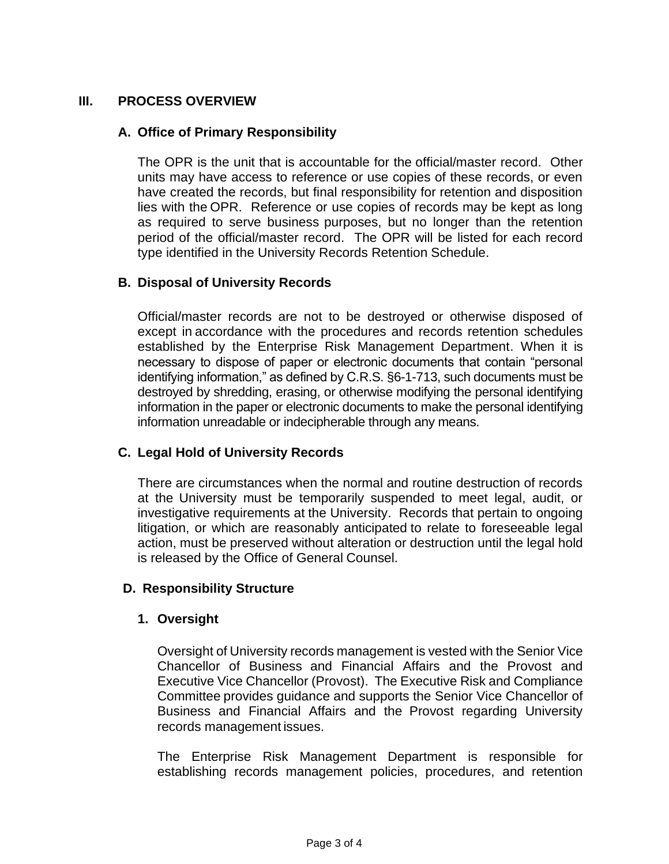# **III. PROCESS OVERVIEW**

### **A. Office of Primary Responsibility**

The OPR is the unit that is accountable for the official/master record. Other units may have access to reference or use copies of these records, or even have created the records, but final responsibility for retention and disposition lies with the OPR. Reference or use copies of records may be kept as long as required to serve business purposes, but no longer than the retention period of the official/master record. The OPR will be listed for each record type identified in the University Records Retention Schedule.

### **B. Disposal of University Records**

Official/master records are not to be destroyed or otherwise disposed of except in accordance with the procedures and records retention schedules established by the Enterprise Risk Management Department. When it is necessary to dispose of paper or electronic documents that contain "personal identifying information," as defined by C.R.S. §6-1-713, such documents must be destroyed by shredding, erasing, or otherwise modifying the personal identifying information in the paper or electronic documents to make the personal identifying information unreadable or indecipherable through any means.

## **C. Legal Hold of University Records**

There are circumstances when the normal and routine destruction of records at the University must be temporarily suspended to meet legal, audit, or investigative requirements at the University. Records that pertain to ongoing litigation, or which are reasonably anticipated to relate to foreseeable legal action, must be preserved without alteration or destruction until the legal hold is released by the Office of General Counsel.

## **D. Responsibility Structure**

#### **1. Oversight**

Oversight of University records management is vested with the Senior Vice Chancellor of Business and Financial Affairs and the Provost and Executive Vice Chancellor (Provost). The Executive Risk and Compliance Committee provides guidance and supports the Senior Vice Chancellor of Business and Financial Affairs and the Provost regarding University records management issues.

The Enterprise Risk Management Department is responsible for establishing records management policies, procedures, and retention